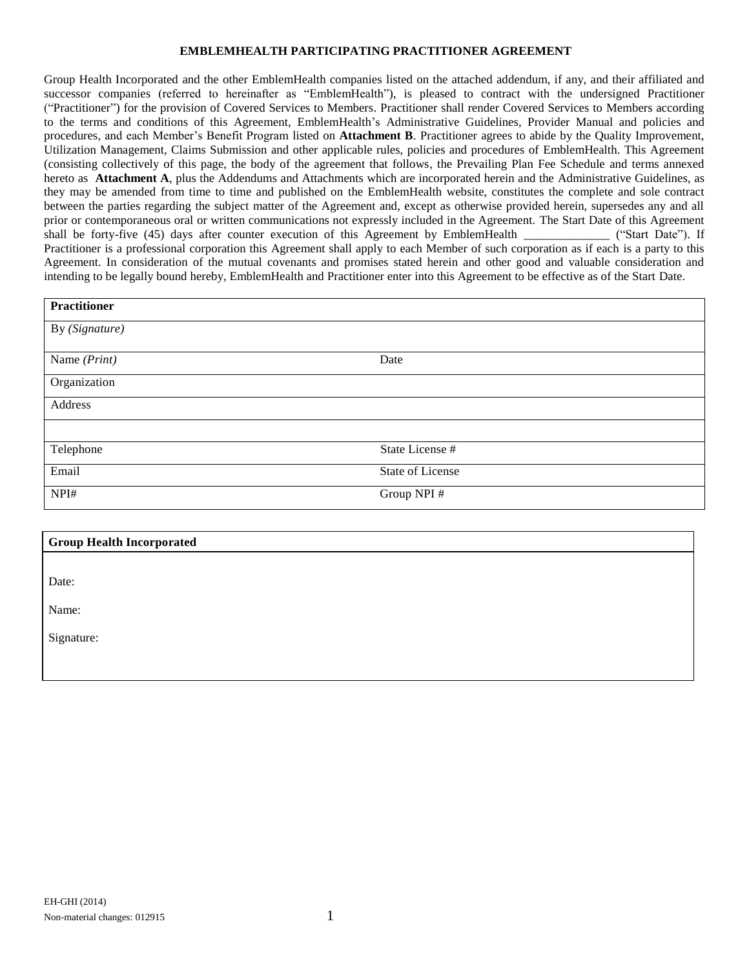#### **EMBLEMHEALTH PARTICIPATING PRACTITIONER AGREEMENT**

Group Health Incorporated and the other EmblemHealth companies listed on the attached addendum, if any, and their affiliated and successor companies (referred to hereinafter as "EmblemHealth"), is pleased to contract with the undersigned Practitioner ("Practitioner") for the provision of Covered Services to Members. Practitioner shall render Covered Services to Members according to the terms and conditions of this Agreement, EmblemHealth's Administrative Guidelines, Provider Manual and policies and procedures, and each Member's Benefit Program listed on **Attachment B**. Practitioner agrees to abide by the Quality Improvement, Utilization Management, Claims Submission and other applicable rules, policies and procedures of EmblemHealth. This Agreement (consisting collectively of this page, the body of the agreement that follows, the Prevailing Plan Fee Schedule and terms annexed hereto as **Attachment A**, plus the Addendums and Attachments which are incorporated herein and the Administrative Guidelines, as they may be amended from time to time and published on the EmblemHealth website, constitutes the complete and sole contract between the parties regarding the subject matter of the Agreement and, except as otherwise provided herein, supersedes any and all prior or contemporaneous oral or written communications not expressly included in the Agreement. The Start Date of this Agreement shall be forty-five (45) days after counter execution of this Agreement by EmblemHealth \_\_\_\_\_\_\_\_\_\_\_\_\_\_ ("Start Date"). If Practitioner is a professional corporation this Agreement shall apply to each Member of such corporation as if each is a party to this Agreement. In consideration of the mutual covenants and promises stated herein and other good and valuable consideration and intending to be legally bound hereby, EmblemHealth and Practitioner enter into this Agreement to be effective as of the Start Date.

| <b>Practitioner</b> |                  |  |
|---------------------|------------------|--|
| By (Signature)      |                  |  |
| Name (Print)        | Date             |  |
| Organization        |                  |  |
| Address             |                  |  |
|                     |                  |  |
|                     |                  |  |
| Telephone           | State License #  |  |
| Email               | State of License |  |
| NPI#                | Group NPI #      |  |

| <b>Group Health Incorporated</b> |  |  |
|----------------------------------|--|--|
|                                  |  |  |
| Date:                            |  |  |
| Name:                            |  |  |
| Signature:                       |  |  |
|                                  |  |  |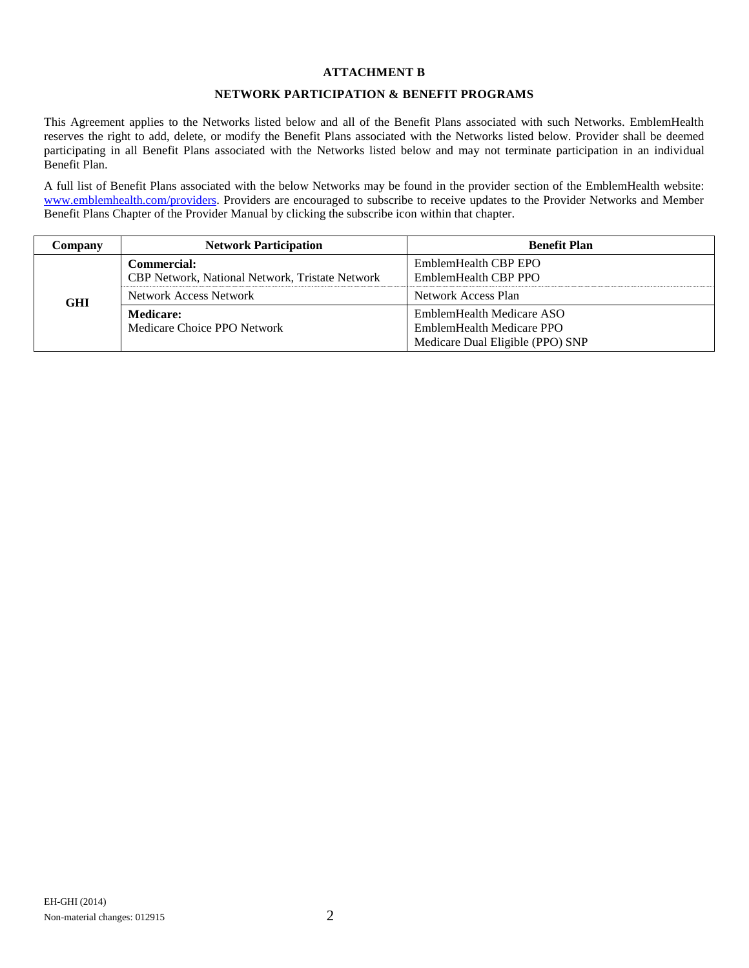#### **ATTACHMENT B**

#### **NETWORK PARTICIPATION & BENEFIT PROGRAMS**

This Agreement applies to the Networks listed below and all of the Benefit Plans associated with such Networks. EmblemHealth reserves the right to add, delete, or modify the Benefit Plans associated with the Networks listed below. Provider shall be deemed participating in all Benefit Plans associated with the Networks listed below and may not terminate participation in an individual Benefit Plan.

A full list of Benefit Plans associated with the below Networks may be found in the provider section of the EmblemHealth website: [www.emblemhealth.com/providers.](http://www.emblemhealth.com/providers) Providers are encouraged to subscribe to receive updates to the Provider Networks and Member Benefit Plans Chapter of the Provider Manual by clicking the subscribe icon within that chapter.

| Company    | <b>Network Participation</b>                                          | <b>Benefit Plan</b>                                                                        |
|------------|-----------------------------------------------------------------------|--------------------------------------------------------------------------------------------|
| <b>GHI</b> | Commercial:<br><b>CBP Network, National Network, Tristate Network</b> | EmblemHealth CBP EPO<br>EmblemHealth CBP PPO                                               |
|            | Network Access Network                                                | Network Access Plan                                                                        |
|            | Medicare:<br>Medicare Choice PPO Network                              | EmblemHealth Medicare ASO<br>EmblemHealth Medicare PPO<br>Medicare Dual Eligible (PPO) SNP |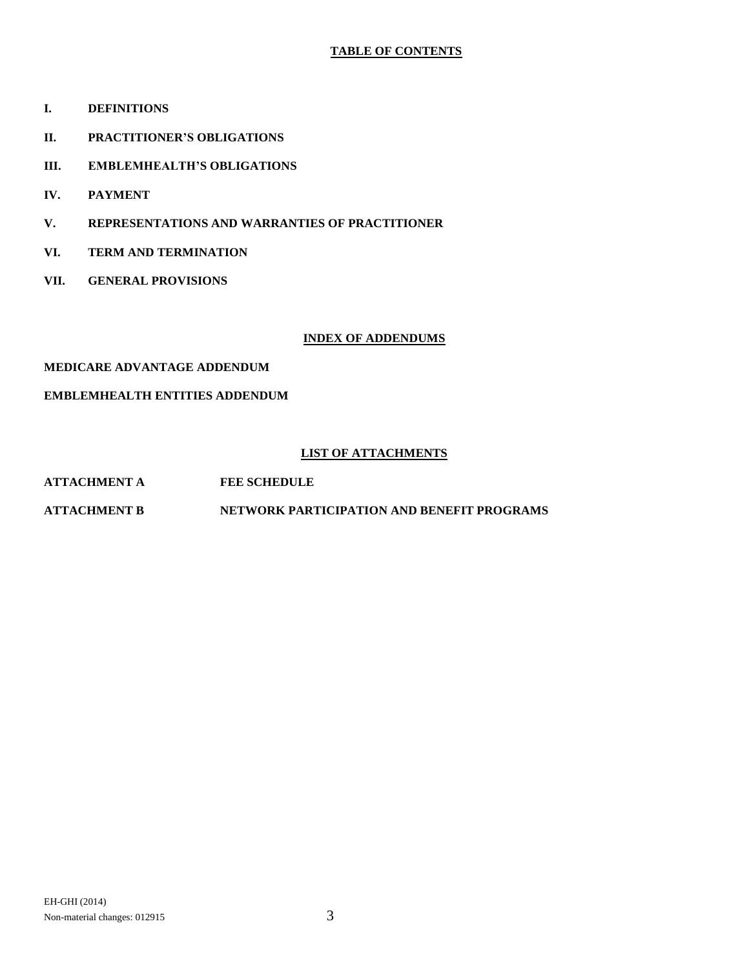# **TABLE OF CONTENTS**

- **I. DEFINITIONS**
- **II. PRACTITIONER'S OBLIGATIONS**
- **III. EMBLEMHEALTH'S OBLIGATIONS**
- **IV. PAYMENT**
- **V. REPRESENTATIONS AND WARRANTIES OF PRACTITIONER**
- **VI. TERM AND TERMINATION**
- **VII. GENERAL PROVISIONS**

#### **INDEX OF ADDENDUMS**

#### **MEDICARE ADVANTAGE ADDENDUM**

#### **EMBLEMHEALTH ENTITIES ADDENDUM**

# **LIST OF ATTACHMENTS**

- **ATTACHMENT A FEE SCHEDULE**
- **ATTACHMENT B NETWORK PARTICIPATION AND BENEFIT PROGRAMS**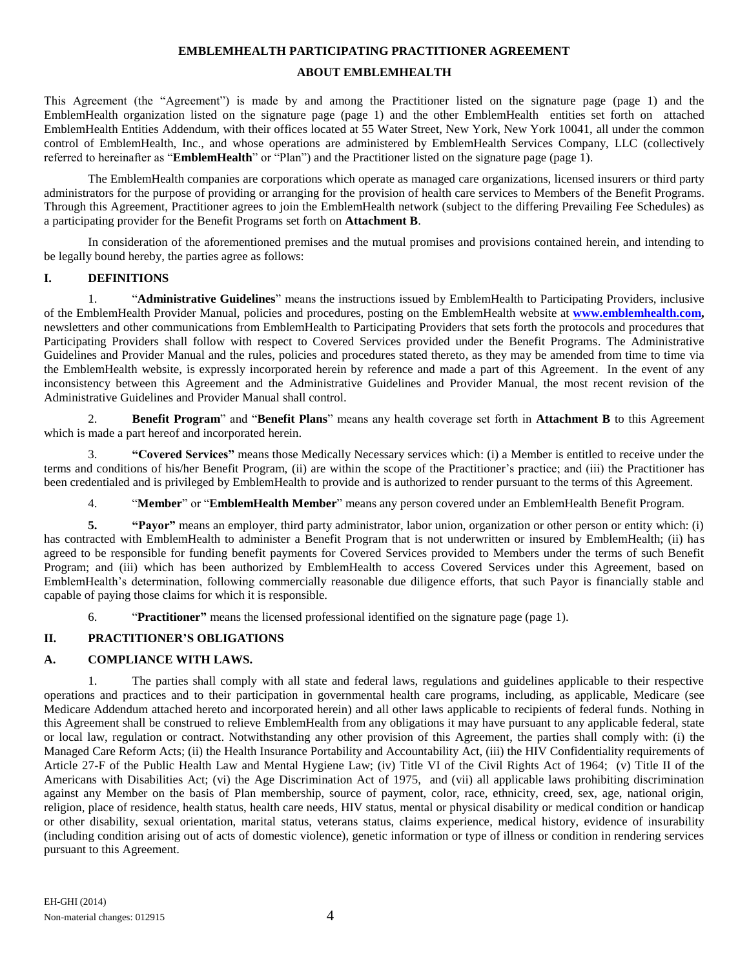#### **EMBLEMHEALTH PARTICIPATING PRACTITIONER AGREEMENT**

#### **ABOUT EMBLEMHEALTH**

This Agreement (the "Agreement") is made by and among the Practitioner listed on the signature page (page 1) and the EmblemHealth organization listed on the signature page (page 1) and the other EmblemHealth entities set forth on attached EmblemHealth Entities Addendum, with their offices located at 55 Water Street, New York, New York 10041, all under the common control of EmblemHealth, Inc., and whose operations are administered by EmblemHealth Services Company, LLC (collectively referred to hereinafter as "**EmblemHealth**" or "Plan") and the Practitioner listed on the signature page (page 1).

The EmblemHealth companies are corporations which operate as managed care organizations, licensed insurers or third party administrators for the purpose of providing or arranging for the provision of health care services to Members of the Benefit Programs. Through this Agreement, Practitioner agrees to join the EmblemHealth network (subject to the differing Prevailing Fee Schedules) as a participating provider for the Benefit Programs set forth on **Attachment B**.

In consideration of the aforementioned premises and the mutual promises and provisions contained herein, and intending to be legally bound hereby, the parties agree as follows:

#### **I. DEFINITIONS**

1. "**Administrative Guidelines**" means the instructions issued by EmblemHealth to Participating Providers, inclusive of the EmblemHealth Provider Manual, policies and procedures, posting on the EmblemHealth website at **[www.emblemhealth.com,](http://www.emblemhealth.com/)**  newsletters and other communications from EmblemHealth to Participating Providers that sets forth the protocols and procedures that Participating Providers shall follow with respect to Covered Services provided under the Benefit Programs. The Administrative Guidelines and Provider Manual and the rules, policies and procedures stated thereto, as they may be amended from time to time via the EmblemHealth website, is expressly incorporated herein by reference and made a part of this Agreement. In the event of any inconsistency between this Agreement and the Administrative Guidelines and Provider Manual, the most recent revision of the Administrative Guidelines and Provider Manual shall control.

2. **Benefit Program**" and "**Benefit Plans**" means any health coverage set forth in **Attachment B** to this Agreement which is made a part hereof and incorporated herein.

3. **"Covered Services"** means those Medically Necessary services which: (i) a Member is entitled to receive under the terms and conditions of his/her Benefit Program, (ii) are within the scope of the Practitioner's practice; and (iii) the Practitioner has been credentialed and is privileged by EmblemHealth to provide and is authorized to render pursuant to the terms of this Agreement.

4. "**Member**" or "**EmblemHealth Member**" means any person covered under an EmblemHealth Benefit Program.

**5. "Payor"** means an employer, third party administrator, labor union, organization or other person or entity which: (i) has contracted with EmblemHealth to administer a Benefit Program that is not underwritten or insured by EmblemHealth; (ii) has agreed to be responsible for funding benefit payments for Covered Services provided to Members under the terms of such Benefit Program; and (iii) which has been authorized by EmblemHealth to access Covered Services under this Agreement, based on EmblemHealth's determination, following commercially reasonable due diligence efforts, that such Payor is financially stable and capable of paying those claims for which it is responsible.

6. "**Practitioner"** means the licensed professional identified on the signature page (page 1).

# **II. PRACTITIONER'S OBLIGATIONS**

# **A. COMPLIANCE WITH LAWS.**

1. The parties shall comply with all state and federal laws, regulations and guidelines applicable to their respective operations and practices and to their participation in governmental health care programs, including, as applicable, Medicare (see Medicare Addendum attached hereto and incorporated herein) and all other laws applicable to recipients of federal funds. Nothing in this Agreement shall be construed to relieve EmblemHealth from any obligations it may have pursuant to any applicable federal, state or local law, regulation or contract. Notwithstanding any other provision of this Agreement, the parties shall comply with: (i) the Managed Care Reform Acts; (ii) the Health Insurance Portability and Accountability Act, (iii) the HIV Confidentiality requirements of Article 27-F of the Public Health Law and Mental Hygiene Law; (iv) Title VI of the Civil Rights Act of 1964; (v) Title II of the Americans with Disabilities Act; (vi) the Age Discrimination Act of 1975, and (vii) all applicable laws prohibiting discrimination against any Member on the basis of Plan membership, source of payment, color, race, ethnicity, creed, sex, age, national origin, religion, place of residence, health status, health care needs, HIV status, mental or physical disability or medical condition or handicap or other disability, sexual orientation, marital status, veterans status, claims experience, medical history, evidence of insurability (including condition arising out of acts of domestic violence), genetic information or type of illness or condition in rendering services pursuant to this Agreement.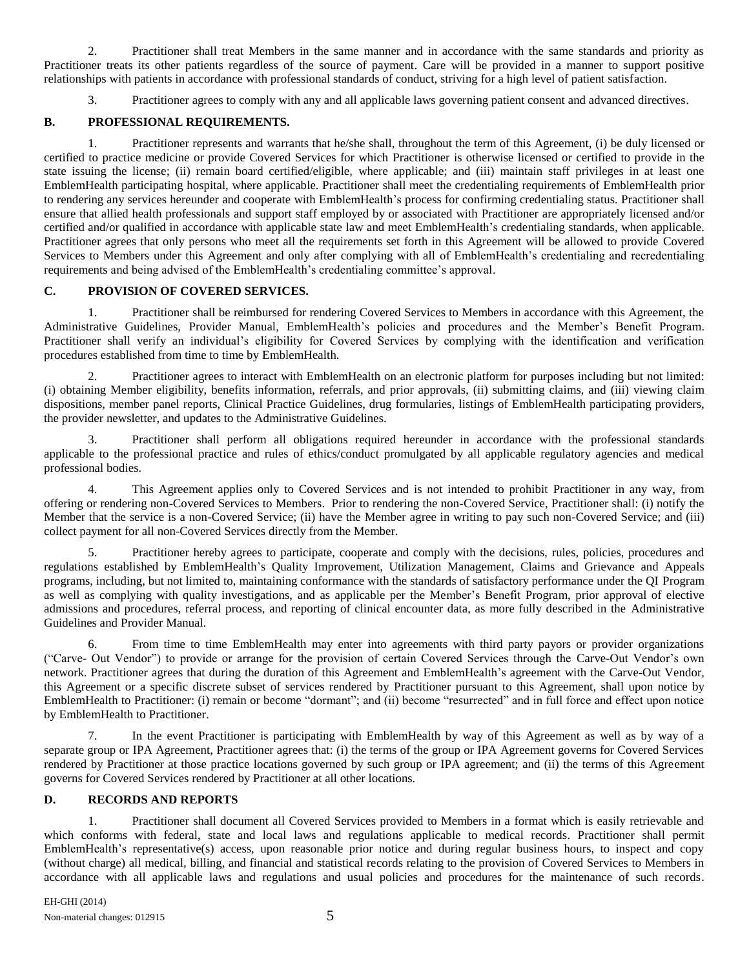2. Practitioner shall treat Members in the same manner and in accordance with the same standards and priority as Practitioner treats its other patients regardless of the source of payment. Care will be provided in a manner to support positive relationships with patients in accordance with professional standards of conduct, striving for a high level of patient satisfaction.

3. Practitioner agrees to comply with any and all applicable laws governing patient consent and advanced directives.

#### **B. PROFESSIONAL REQUIREMENTS.**

1. Practitioner represents and warrants that he/she shall, throughout the term of this Agreement, (i) be duly licensed or certified to practice medicine or provide Covered Services for which Practitioner is otherwise licensed or certified to provide in the state issuing the license; (ii) remain board certified/eligible, where applicable; and (iii) maintain staff privileges in at least one EmblemHealth participating hospital, where applicable. Practitioner shall meet the credentialing requirements of EmblemHealth prior to rendering any services hereunder and cooperate with EmblemHealth's process for confirming credentialing status. Practitioner shall ensure that allied health professionals and support staff employed by or associated with Practitioner are appropriately licensed and/or certified and/or qualified in accordance with applicable state law and meet EmblemHealth's credentialing standards, when applicable. Practitioner agrees that only persons who meet all the requirements set forth in this Agreement will be allowed to provide Covered Services to Members under this Agreement and only after complying with all of EmblemHealth's credentialing and recredentialing requirements and being advised of the EmblemHealth's credentialing committee's approval.

# **C. PROVISION OF COVERED SERVICES.**

1. Practitioner shall be reimbursed for rendering Covered Services to Members in accordance with this Agreement, the Administrative Guidelines, Provider Manual, EmblemHealth's policies and procedures and the Member's Benefit Program. Practitioner shall verify an individual's eligibility for Covered Services by complying with the identification and verification procedures established from time to time by EmblemHealth.

2. Practitioner agrees to interact with EmblemHealth on an electronic platform for purposes including but not limited: (i) obtaining Member eligibility, benefits information, referrals, and prior approvals, (ii) submitting claims, and (iii) viewing claim dispositions, member panel reports, Clinical Practice Guidelines, drug formularies, listings of EmblemHealth participating providers, the provider newsletter, and updates to the Administrative Guidelines.

3. Practitioner shall perform all obligations required hereunder in accordance with the professional standards applicable to the professional practice and rules of ethics/conduct promulgated by all applicable regulatory agencies and medical professional bodies.

4. This Agreement applies only to Covered Services and is not intended to prohibit Practitioner in any way, from offering or rendering non-Covered Services to Members. Prior to rendering the non-Covered Service, Practitioner shall: (i) notify the Member that the service is a non-Covered Service; (ii) have the Member agree in writing to pay such non-Covered Service; and (iii) collect payment for all non-Covered Services directly from the Member.

5. Practitioner hereby agrees to participate, cooperate and comply with the decisions, rules, policies, procedures and regulations established by EmblemHealth's Quality Improvement, Utilization Management, Claims and Grievance and Appeals programs, including, but not limited to, maintaining conformance with the standards of satisfactory performance under the QI Program as well as complying with quality investigations, and as applicable per the Member's Benefit Program, prior approval of elective admissions and procedures, referral process, and reporting of clinical encounter data, as more fully described in the Administrative Guidelines and Provider Manual.

6. From time to time EmblemHealth may enter into agreements with third party payors or provider organizations ("Carve- Out Vendor") to provide or arrange for the provision of certain Covered Services through the Carve-Out Vendor's own network. Practitioner agrees that during the duration of this Agreement and EmblemHealth's agreement with the Carve-Out Vendor, this Agreement or a specific discrete subset of services rendered by Practitioner pursuant to this Agreement, shall upon notice by EmblemHealth to Practitioner: (i) remain or become "dormant"; and (ii) become "resurrected" and in full force and effect upon notice by EmblemHealth to Practitioner.

7. In the event Practitioner is participating with EmblemHealth by way of this Agreement as well as by way of a separate group or IPA Agreement, Practitioner agrees that: (i) the terms of the group or IPA Agreement governs for Covered Services rendered by Practitioner at those practice locations governed by such group or IPA agreement; and (ii) the terms of this Agreement governs for Covered Services rendered by Practitioner at all other locations.

# **D. RECORDS AND REPORTS**

1. Practitioner shall document all Covered Services provided to Members in a format which is easily retrievable and which conforms with federal, state and local laws and regulations applicable to medical records. Practitioner shall permit EmblemHealth's representative(s) access, upon reasonable prior notice and during regular business hours, to inspect and copy (without charge) all medical, billing, and financial and statistical records relating to the provision of Covered Services to Members in accordance with all applicable laws and regulations and usual policies and procedures for the maintenance of such records.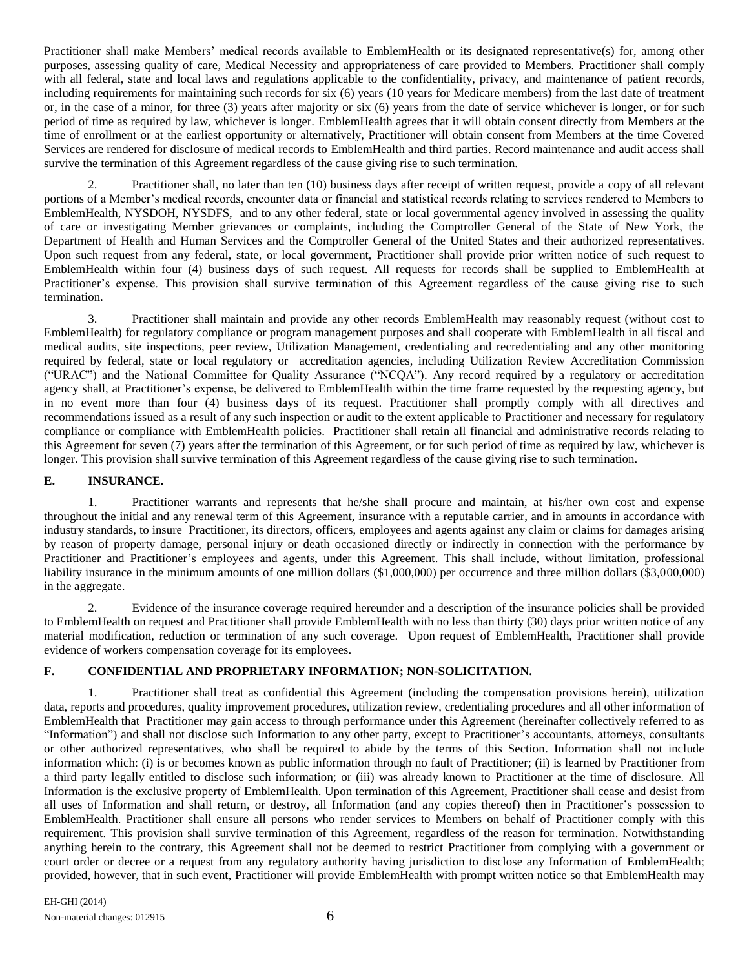Practitioner shall make Members' medical records available to EmblemHealth or its designated representative(s) for, among other purposes, assessing quality of care, Medical Necessity and appropriateness of care provided to Members. Practitioner shall comply with all federal, state and local laws and regulations applicable to the confidentiality, privacy, and maintenance of patient records, including requirements for maintaining such records for six (6) years (10 years for Medicare members) from the last date of treatment or, in the case of a minor, for three (3) years after majority or six (6) years from the date of service whichever is longer, or for such period of time as required by law, whichever is longer. EmblemHealth agrees that it will obtain consent directly from Members at the time of enrollment or at the earliest opportunity or alternatively, Practitioner will obtain consent from Members at the time Covered Services are rendered for disclosure of medical records to EmblemHealth and third parties. Record maintenance and audit access shall survive the termination of this Agreement regardless of the cause giving rise to such termination.

2. Practitioner shall, no later than ten (10) business days after receipt of written request, provide a copy of all relevant portions of a Member's medical records, encounter data or financial and statistical records relating to services rendered to Members to EmblemHealth, NYSDOH, NYSDFS, and to any other federal, state or local governmental agency involved in assessing the quality of care or investigating Member grievances or complaints, including the Comptroller General of the State of New York, the Department of Health and Human Services and the Comptroller General of the United States and their authorized representatives. Upon such request from any federal, state, or local government, Practitioner shall provide prior written notice of such request to EmblemHealth within four (4) business days of such request. All requests for records shall be supplied to EmblemHealth at Practitioner's expense. This provision shall survive termination of this Agreement regardless of the cause giving rise to such termination.

3. Practitioner shall maintain and provide any other records EmblemHealth may reasonably request (without cost to EmblemHealth) for regulatory compliance or program management purposes and shall cooperate with EmblemHealth in all fiscal and medical audits, site inspections, peer review, Utilization Management, credentialing and recredentialing and any other monitoring required by federal, state or local regulatory or accreditation agencies, including Utilization Review Accreditation Commission ("URAC") and the National Committee for Quality Assurance ("NCQA"). Any record required by a regulatory or accreditation agency shall, at Practitioner's expense, be delivered to EmblemHealth within the time frame requested by the requesting agency, but in no event more than four (4) business days of its request. Practitioner shall promptly comply with all directives and recommendations issued as a result of any such inspection or audit to the extent applicable to Practitioner and necessary for regulatory compliance or compliance with EmblemHealth policies. Practitioner shall retain all financial and administrative records relating to this Agreement for seven (7) years after the termination of this Agreement, or for such period of time as required by law, whichever is longer. This provision shall survive termination of this Agreement regardless of the cause giving rise to such termination.

#### **E. INSURANCE.**

1. Practitioner warrants and represents that he/she shall procure and maintain, at his/her own cost and expense throughout the initial and any renewal term of this Agreement, insurance with a reputable carrier, and in amounts in accordance with industry standards, to insure Practitioner, its directors, officers, employees and agents against any claim or claims for damages arising by reason of property damage, personal injury or death occasioned directly or indirectly in connection with the performance by Practitioner and Practitioner's employees and agents, under this Agreement. This shall include, without limitation, professional liability insurance in the minimum amounts of one million dollars (\$1,000,000) per occurrence and three million dollars (\$3,000,000) in the aggregate.

2. Evidence of the insurance coverage required hereunder and a description of the insurance policies shall be provided to EmblemHealth on request and Practitioner shall provide EmblemHealth with no less than thirty (30) days prior written notice of any material modification, reduction or termination of any such coverage. Upon request of EmblemHealth, Practitioner shall provide evidence of workers compensation coverage for its employees.

# **F. CONFIDENTIAL AND PROPRIETARY INFORMATION; NON-SOLICITATION.**

1. Practitioner shall treat as confidential this Agreement (including the compensation provisions herein), utilization data, reports and procedures, quality improvement procedures, utilization review, credentialing procedures and all other information of EmblemHealth that Practitioner may gain access to through performance under this Agreement (hereinafter collectively referred to as "Information") and shall not disclose such Information to any other party, except to Practitioner's accountants, attorneys, consultants or other authorized representatives, who shall be required to abide by the terms of this Section. Information shall not include information which: (i) is or becomes known as public information through no fault of Practitioner; (ii) is learned by Practitioner from a third party legally entitled to disclose such information; or (iii) was already known to Practitioner at the time of disclosure. All Information is the exclusive property of EmblemHealth. Upon termination of this Agreement, Practitioner shall cease and desist from all uses of Information and shall return, or destroy, all Information (and any copies thereof) then in Practitioner's possession to EmblemHealth. Practitioner shall ensure all persons who render services to Members on behalf of Practitioner comply with this requirement. This provision shall survive termination of this Agreement, regardless of the reason for termination. Notwithstanding anything herein to the contrary, this Agreement shall not be deemed to restrict Practitioner from complying with a government or court order or decree or a request from any regulatory authority having jurisdiction to disclose any Information of EmblemHealth; provided, however, that in such event, Practitioner will provide EmblemHealth with prompt written notice so that EmblemHealth may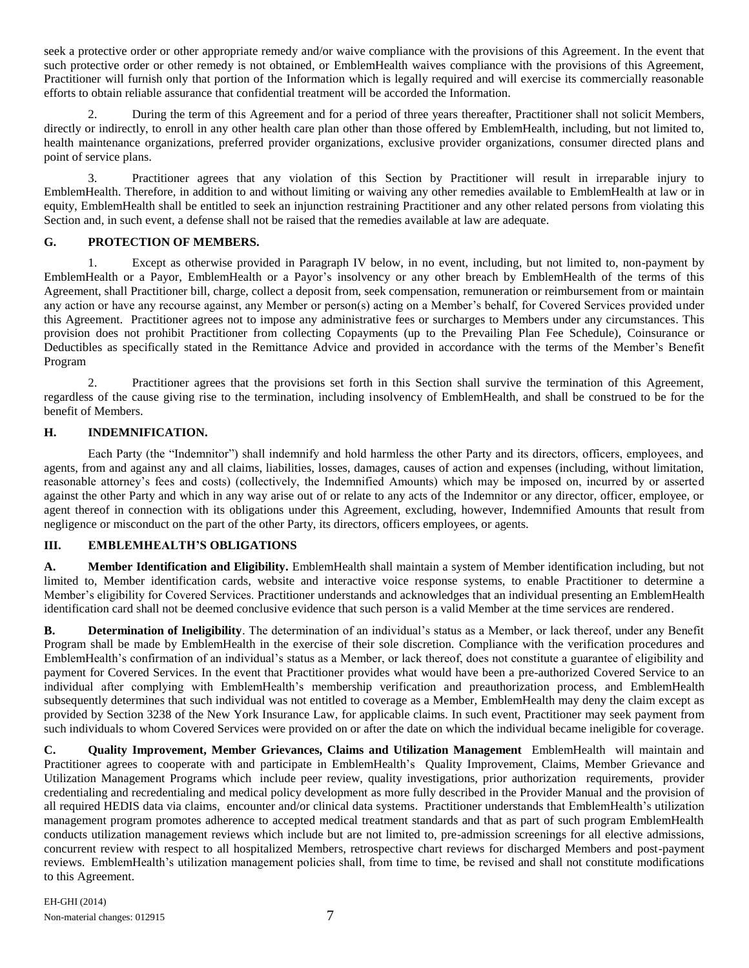seek a protective order or other appropriate remedy and/or waive compliance with the provisions of this Agreement. In the event that such protective order or other remedy is not obtained, or EmblemHealth waives compliance with the provisions of this Agreement, Practitioner will furnish only that portion of the Information which is legally required and will exercise its commercially reasonable efforts to obtain reliable assurance that confidential treatment will be accorded the Information.

2. During the term of this Agreement and for a period of three years thereafter, Practitioner shall not solicit Members, directly or indirectly, to enroll in any other health care plan other than those offered by EmblemHealth, including, but not limited to, health maintenance organizations, preferred provider organizations, exclusive provider organizations, consumer directed plans and point of service plans.

3. Practitioner agrees that any violation of this Section by Practitioner will result in irreparable injury to EmblemHealth. Therefore, in addition to and without limiting or waiving any other remedies available to EmblemHealth at law or in equity, EmblemHealth shall be entitled to seek an injunction restraining Practitioner and any other related persons from violating this Section and, in such event, a defense shall not be raised that the remedies available at law are adequate.

# **G. PROTECTION OF MEMBERS.**

1. Except as otherwise provided in Paragraph IV below, in no event, including, but not limited to, non-payment by EmblemHealth or a Payor, EmblemHealth or a Payor's insolvency or any other breach by EmblemHealth of the terms of this Agreement, shall Practitioner bill, charge, collect a deposit from, seek compensation, remuneration or reimbursement from or maintain any action or have any recourse against, any Member or person(s) acting on a Member's behalf, for Covered Services provided under this Agreement. Practitioner agrees not to impose any administrative fees or surcharges to Members under any circumstances. This provision does not prohibit Practitioner from collecting Copayments (up to the Prevailing Plan Fee Schedule), Coinsurance or Deductibles as specifically stated in the Remittance Advice and provided in accordance with the terms of the Member's Benefit Program

2. Practitioner agrees that the provisions set forth in this Section shall survive the termination of this Agreement, regardless of the cause giving rise to the termination, including insolvency of EmblemHealth, and shall be construed to be for the benefit of Members.

# **H. INDEMNIFICATION.**

Each Party (the "Indemnitor") shall indemnify and hold harmless the other Party and its directors, officers, employees, and agents, from and against any and all claims, liabilities, losses, damages, causes of action and expenses (including, without limitation, reasonable attorney's fees and costs) (collectively, the Indemnified Amounts) which may be imposed on, incurred by or asserted against the other Party and which in any way arise out of or relate to any acts of the Indemnitor or any director, officer, employee, or agent thereof in connection with its obligations under this Agreement, excluding, however, Indemnified Amounts that result from negligence or misconduct on the part of the other Party, its directors, officers employees, or agents.

# **III. EMBLEMHEALTH'S OBLIGATIONS**

**A. Member Identification and Eligibility.** EmblemHealth shall maintain a system of Member identification including, but not limited to, Member identification cards, website and interactive voice response systems, to enable Practitioner to determine a Member's eligibility for Covered Services. Practitioner understands and acknowledges that an individual presenting an EmblemHealth identification card shall not be deemed conclusive evidence that such person is a valid Member at the time services are rendered.

**B. Determination of Ineligibility**. The determination of an individual's status as a Member, or lack thereof, under any Benefit Program shall be made by EmblemHealth in the exercise of their sole discretion. Compliance with the verification procedures and EmblemHealth's confirmation of an individual's status as a Member, or lack thereof, does not constitute a guarantee of eligibility and payment for Covered Services. In the event that Practitioner provides what would have been a pre-authorized Covered Service to an individual after complying with EmblemHealth's membership verification and preauthorization process, and EmblemHealth subsequently determines that such individual was not entitled to coverage as a Member, EmblemHealth may deny the claim except as provided by Section 3238 of the New York Insurance Law, for applicable claims. In such event, Practitioner may seek payment from such individuals to whom Covered Services were provided on or after the date on which the individual became ineligible for coverage.

**C. Quality Improvement, Member Grievances, Claims and Utilization Management** EmblemHealth will maintain and Practitioner agrees to cooperate with and participate in EmblemHealth's Quality Improvement, Claims, Member Grievance and Utilization Management Programs which include peer review, quality investigations, prior authorization requirements, provider credentialing and recredentialing and medical policy development as more fully described in the Provider Manual and the provision of all required HEDIS data via claims, encounter and/or clinical data systems. Practitioner understands that EmblemHealth's utilization management program promotes adherence to accepted medical treatment standards and that as part of such program EmblemHealth conducts utilization management reviews which include but are not limited to, pre-admission screenings for all elective admissions, concurrent review with respect to all hospitalized Members, retrospective chart reviews for discharged Members and post-payment reviews. EmblemHealth's utilization management policies shall, from time to time, be revised and shall not constitute modifications to this Agreement.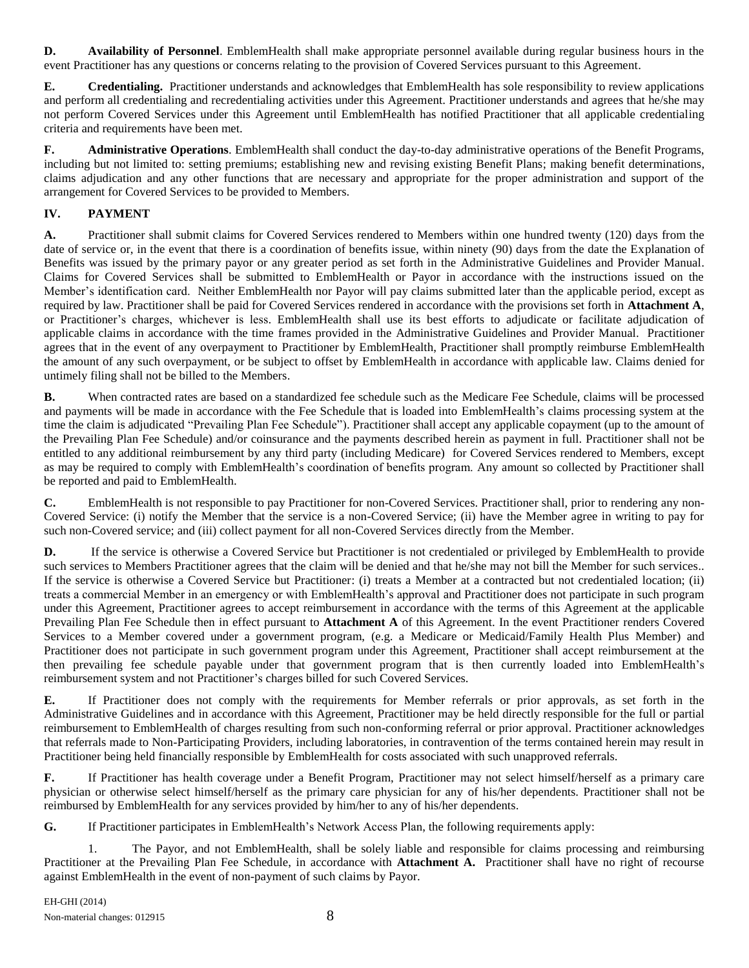**D. Availability of Personnel**. EmblemHealth shall make appropriate personnel available during regular business hours in the event Practitioner has any questions or concerns relating to the provision of Covered Services pursuant to this Agreement.

**E. Credentialing.** Practitioner understands and acknowledges that EmblemHealth has sole responsibility to review applications and perform all credentialing and recredentialing activities under this Agreement. Practitioner understands and agrees that he/she may not perform Covered Services under this Agreement until EmblemHealth has notified Practitioner that all applicable credentialing criteria and requirements have been met.

**F. Administrative Operations**. EmblemHealth shall conduct the day-to-day administrative operations of the Benefit Programs, including but not limited to: setting premiums; establishing new and revising existing Benefit Plans; making benefit determinations, claims adjudication and any other functions that are necessary and appropriate for the proper administration and support of the arrangement for Covered Services to be provided to Members.

# **IV. PAYMENT**

**A.** Practitioner shall submit claims for Covered Services rendered to Members within one hundred twenty (120) days from the date of service or, in the event that there is a coordination of benefits issue, within ninety (90) days from the date the Explanation of Benefits was issued by the primary payor or any greater period as set forth in the Administrative Guidelines and Provider Manual. Claims for Covered Services shall be submitted to EmblemHealth or Payor in accordance with the instructions issued on the Member's identification card. Neither EmblemHealth nor Payor will pay claims submitted later than the applicable period, except as required by law. Practitioner shall be paid for Covered Services rendered in accordance with the provisions set forth in **Attachment A**, or Practitioner's charges, whichever is less. EmblemHealth shall use its best efforts to adjudicate or facilitate adjudication of applicable claims in accordance with the time frames provided in the Administrative Guidelines and Provider Manual. Practitioner agrees that in the event of any overpayment to Practitioner by EmblemHealth, Practitioner shall promptly reimburse EmblemHealth the amount of any such overpayment, or be subject to offset by EmblemHealth in accordance with applicable law. Claims denied for untimely filing shall not be billed to the Members.

**B.** When contracted rates are based on a standardized fee schedule such as the Medicare Fee Schedule, claims will be processed and payments will be made in accordance with the Fee Schedule that is loaded into EmblemHealth's claims processing system at the time the claim is adjudicated "Prevailing Plan Fee Schedule"). Practitioner shall accept any applicable copayment (up to the amount of the Prevailing Plan Fee Schedule) and/or coinsurance and the payments described herein as payment in full. Practitioner shall not be entitled to any additional reimbursement by any third party (including Medicare) for Covered Services rendered to Members, except as may be required to comply with EmblemHealth's coordination of benefits program. Any amount so collected by Practitioner shall be reported and paid to EmblemHealth.

**C.** EmblemHealth is not responsible to pay Practitioner for non-Covered Services. Practitioner shall, prior to rendering any non-Covered Service: (i) notify the Member that the service is a non-Covered Service; (ii) have the Member agree in writing to pay for such non-Covered service; and (iii) collect payment for all non-Covered Services directly from the Member.

**D.** If the service is otherwise a Covered Service but Practitioner is not credentialed or privileged by EmblemHealth to provide such services to Members Practitioner agrees that the claim will be denied and that he/she may not bill the Member for such services.. If the service is otherwise a Covered Service but Practitioner: (i) treats a Member at a contracted but not credentialed location; (ii) treats a commercial Member in an emergency or with EmblemHealth's approval and Practitioner does not participate in such program under this Agreement, Practitioner agrees to accept reimbursement in accordance with the terms of this Agreement at the applicable Prevailing Plan Fee Schedule then in effect pursuant to **Attachment A** of this Agreement. In the event Practitioner renders Covered Services to a Member covered under a government program, (e.g. a Medicare or Medicaid/Family Health Plus Member) and Practitioner does not participate in such government program under this Agreement, Practitioner shall accept reimbursement at the then prevailing fee schedule payable under that government program that is then currently loaded into EmblemHealth's reimbursement system and not Practitioner's charges billed for such Covered Services.

**E.** If Practitioner does not comply with the requirements for Member referrals or prior approvals, as set forth in the Administrative Guidelines and in accordance with this Agreement, Practitioner may be held directly responsible for the full or partial reimbursement to EmblemHealth of charges resulting from such non-conforming referral or prior approval. Practitioner acknowledges that referrals made to Non-Participating Providers, including laboratories, in contravention of the terms contained herein may result in Practitioner being held financially responsible by EmblemHealth for costs associated with such unapproved referrals.

**F.** If Practitioner has health coverage under a Benefit Program, Practitioner may not select himself/herself as a primary care physician or otherwise select himself/herself as the primary care physician for any of his/her dependents. Practitioner shall not be reimbursed by EmblemHealth for any services provided by him/her to any of his/her dependents.

**G.** If Practitioner participates in EmblemHealth's Network Access Plan, the following requirements apply:

1. The Payor, and not EmblemHealth, shall be solely liable and responsible for claims processing and reimbursing Practitioner at the Prevailing Plan Fee Schedule, in accordance with **Attachment A.** Practitioner shall have no right of recourse against EmblemHealth in the event of non-payment of such claims by Payor.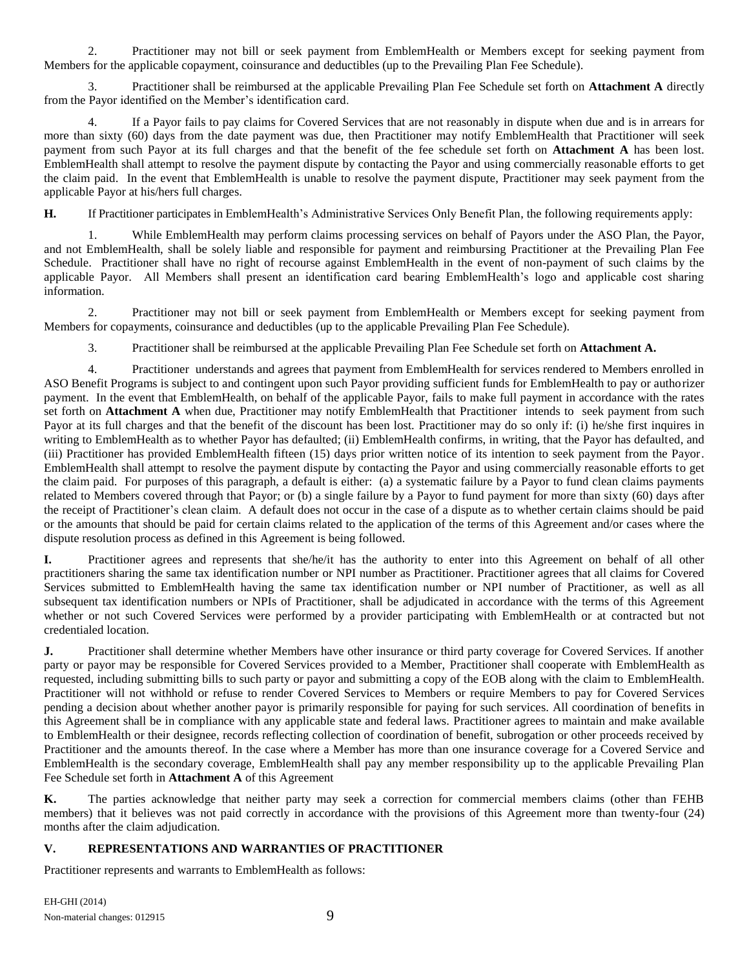2. Practitioner may not bill or seek payment from EmblemHealth or Members except for seeking payment from Members for the applicable copayment, coinsurance and deductibles (up to the Prevailing Plan Fee Schedule).

3. Practitioner shall be reimbursed at the applicable Prevailing Plan Fee Schedule set forth on **Attachment A** directly from the Payor identified on the Member's identification card.

4. If a Payor fails to pay claims for Covered Services that are not reasonably in dispute when due and is in arrears for more than sixty (60) days from the date payment was due, then Practitioner may notify EmblemHealth that Practitioner will seek payment from such Payor at its full charges and that the benefit of the fee schedule set forth on **Attachment A** has been lost. EmblemHealth shall attempt to resolve the payment dispute by contacting the Payor and using commercially reasonable efforts to get the claim paid. In the event that EmblemHealth is unable to resolve the payment dispute, Practitioner may seek payment from the applicable Payor at his/hers full charges.

**H.** If Practitioner participates in EmblemHealth's Administrative Services Only Benefit Plan, the following requirements apply:

1. While EmblemHealth may perform claims processing services on behalf of Payors under the ASO Plan, the Payor, and not EmblemHealth, shall be solely liable and responsible for payment and reimbursing Practitioner at the Prevailing Plan Fee Schedule. Practitioner shall have no right of recourse against EmblemHealth in the event of non-payment of such claims by the applicable Payor. All Members shall present an identification card bearing EmblemHealth's logo and applicable cost sharing information.

2. Practitioner may not bill or seek payment from EmblemHealth or Members except for seeking payment from Members for copayments, coinsurance and deductibles (up to the applicable Prevailing Plan Fee Schedule).

3. Practitioner shall be reimbursed at the applicable Prevailing Plan Fee Schedule set forth on **Attachment A.**

4. Practitioner understands and agrees that payment from EmblemHealth for services rendered to Members enrolled in ASO Benefit Programs is subject to and contingent upon such Payor providing sufficient funds for EmblemHealth to pay or authorizer payment. In the event that EmblemHealth, on behalf of the applicable Payor, fails to make full payment in accordance with the rates set forth on **Attachment A** when due, Practitioner may notify EmblemHealth that Practitioner intends to seek payment from such Payor at its full charges and that the benefit of the discount has been lost. Practitioner may do so only if: (i) he/she first inquires in writing to EmblemHealth as to whether Payor has defaulted; (ii) EmblemHealth confirms, in writing, that the Payor has defaulted, and (iii) Practitioner has provided EmblemHealth fifteen (15) days prior written notice of its intention to seek payment from the Payor. EmblemHealth shall attempt to resolve the payment dispute by contacting the Payor and using commercially reasonable efforts to get the claim paid. For purposes of this paragraph, a default is either: (a) a systematic failure by a Payor to fund clean claims payments related to Members covered through that Payor; or (b) a single failure by a Payor to fund payment for more than sixty (60) days after the receipt of Practitioner's clean claim. A default does not occur in the case of a dispute as to whether certain claims should be paid or the amounts that should be paid for certain claims related to the application of the terms of this Agreement and/or cases where the dispute resolution process as defined in this Agreement is being followed.

**I.** Practitioner agrees and represents that she/he/it has the authority to enter into this Agreement on behalf of all other practitioners sharing the same tax identification number or NPI number as Practitioner. Practitioner agrees that all claims for Covered Services submitted to EmblemHealth having the same tax identification number or NPI number of Practitioner, as well as all subsequent tax identification numbers or NPIs of Practitioner, shall be adjudicated in accordance with the terms of this Agreement whether or not such Covered Services were performed by a provider participating with EmblemHealth or at contracted but not credentialed location.

**J.** Practitioner shall determine whether Members have other insurance or third party coverage for Covered Services. If another party or payor may be responsible for Covered Services provided to a Member, Practitioner shall cooperate with EmblemHealth as requested, including submitting bills to such party or payor and submitting a copy of the EOB along with the claim to EmblemHealth. Practitioner will not withhold or refuse to render Covered Services to Members or require Members to pay for Covered Services pending a decision about whether another payor is primarily responsible for paying for such services. All coordination of benefits in this Agreement shall be in compliance with any applicable state and federal laws. Practitioner agrees to maintain and make available to EmblemHealth or their designee, records reflecting collection of coordination of benefit, subrogation or other proceeds received by Practitioner and the amounts thereof. In the case where a Member has more than one insurance coverage for a Covered Service and EmblemHealth is the secondary coverage, EmblemHealth shall pay any member responsibility up to the applicable Prevailing Plan Fee Schedule set forth in **Attachment A** of this Agreement

**K.** The parties acknowledge that neither party may seek a correction for commercial members claims (other than FEHB members) that it believes was not paid correctly in accordance with the provisions of this Agreement more than twenty-four (24) months after the claim adjudication.

# **V. REPRESENTATIONS AND WARRANTIES OF PRACTITIONER**

Practitioner represents and warrants to EmblemHealth as follows: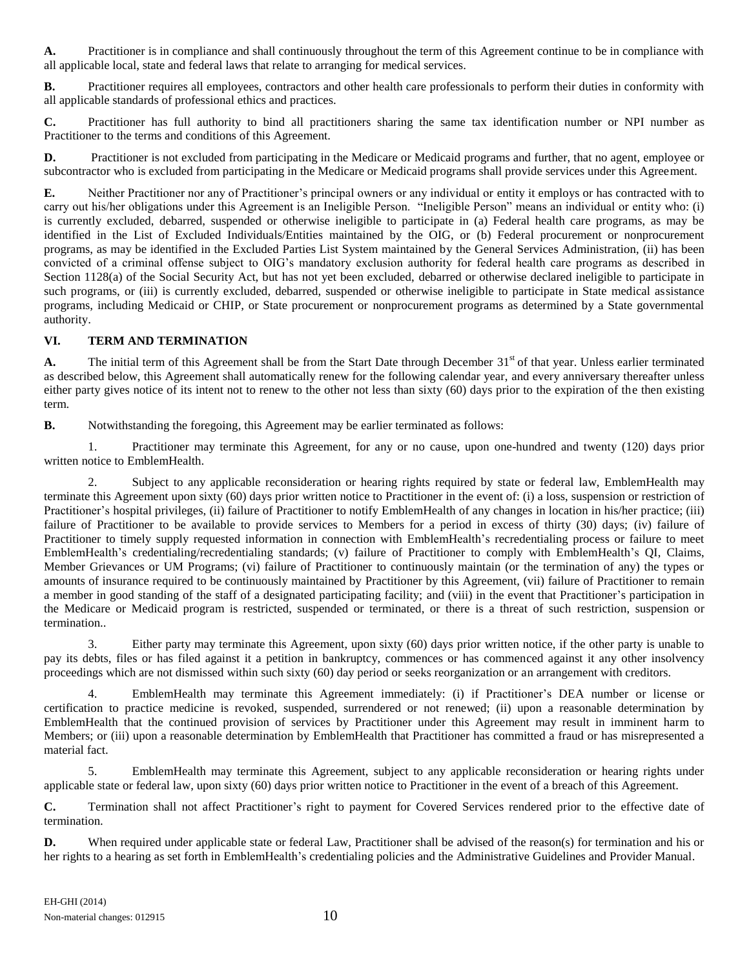**A.** Practitioner is in compliance and shall continuously throughout the term of this Agreement continue to be in compliance with all applicable local, state and federal laws that relate to arranging for medical services.

**B.** Practitioner requires all employees, contractors and other health care professionals to perform their duties in conformity with all applicable standards of professional ethics and practices.

**C.** Practitioner has full authority to bind all practitioners sharing the same tax identification number or NPI number as Practitioner to the terms and conditions of this Agreement.

**D.** Practitioner is not excluded from participating in the Medicare or Medicaid programs and further, that no agent, employee or subcontractor who is excluded from participating in the Medicare or Medicaid programs shall provide services under this Agreement.

**E.** Neither Practitioner nor any of Practitioner's principal owners or any individual or entity it employs or has contracted with to carry out his/her obligations under this Agreement is an Ineligible Person. "Ineligible Person" means an individual or entity who: (i) is currently excluded, debarred, suspended or otherwise ineligible to participate in (a) Federal health care programs, as may be identified in the List of Excluded Individuals/Entities maintained by the OIG, or (b) Federal procurement or nonprocurement programs, as may be identified in the Excluded Parties List System maintained by the General Services Administration, (ii) has been convicted of a criminal offense subject to OIG's mandatory exclusion authority for federal health care programs as described in Section 1128(a) of the Social Security Act, but has not yet been excluded, debarred or otherwise declared ineligible to participate in such programs, or (iii) is currently excluded, debarred, suspended or otherwise ineligible to participate in State medical assistance programs, including Medicaid or CHIP, or State procurement or nonprocurement programs as determined by a State governmental authority.

# **VI. TERM AND TERMINATION**

A. The initial term of this Agreement shall be from the Start Date through December 31<sup>st</sup> of that year. Unless earlier terminated as described below, this Agreement shall automatically renew for the following calendar year, and every anniversary thereafter unless either party gives notice of its intent not to renew to the other not less than sixty (60) days prior to the expiration of the then existing term.

**B.** Notwithstanding the foregoing, this Agreement may be earlier terminated as follows:

1. Practitioner may terminate this Agreement, for any or no cause, upon one-hundred and twenty (120) days prior written notice to EmblemHealth.

2. Subject to any applicable reconsideration or hearing rights required by state or federal law, EmblemHealth may terminate this Agreement upon sixty (60) days prior written notice to Practitioner in the event of: (i) a loss, suspension or restriction of Practitioner's hospital privileges, (ii) failure of Practitioner to notify EmblemHealth of any changes in location in his/her practice; (iii) failure of Practitioner to be available to provide services to Members for a period in excess of thirty (30) days; (iv) failure of Practitioner to timely supply requested information in connection with EmblemHealth's recredentialing process or failure to meet EmblemHealth's credentialing/recredentialing standards; (v) failure of Practitioner to comply with EmblemHealth's QI, Claims, Member Grievances or UM Programs; (vi) failure of Practitioner to continuously maintain (or the termination of any) the types or amounts of insurance required to be continuously maintained by Practitioner by this Agreement, (vii) failure of Practitioner to remain a member in good standing of the staff of a designated participating facility; and (viii) in the event that Practitioner's participation in the Medicare or Medicaid program is restricted, suspended or terminated, or there is a threat of such restriction, suspension or termination..

3. Either party may terminate this Agreement, upon sixty (60) days prior written notice, if the other party is unable to pay its debts, files or has filed against it a petition in bankruptcy, commences or has commenced against it any other insolvency proceedings which are not dismissed within such sixty (60) day period or seeks reorganization or an arrangement with creditors.

4. EmblemHealth may terminate this Agreement immediately: (i) if Practitioner's DEA number or license or certification to practice medicine is revoked, suspended, surrendered or not renewed; (ii) upon a reasonable determination by EmblemHealth that the continued provision of services by Practitioner under this Agreement may result in imminent harm to Members; or (iii) upon a reasonable determination by EmblemHealth that Practitioner has committed a fraud or has misrepresented a material fact.

5. EmblemHealth may terminate this Agreement, subject to any applicable reconsideration or hearing rights under applicable state or federal law, upon sixty (60) days prior written notice to Practitioner in the event of a breach of this Agreement.

**C.** Termination shall not affect Practitioner's right to payment for Covered Services rendered prior to the effective date of termination.

**D.** When required under applicable state or federal Law, Practitioner shall be advised of the reason(s) for termination and his or her rights to a hearing as set forth in EmblemHealth's credentialing policies and the Administrative Guidelines and Provider Manual.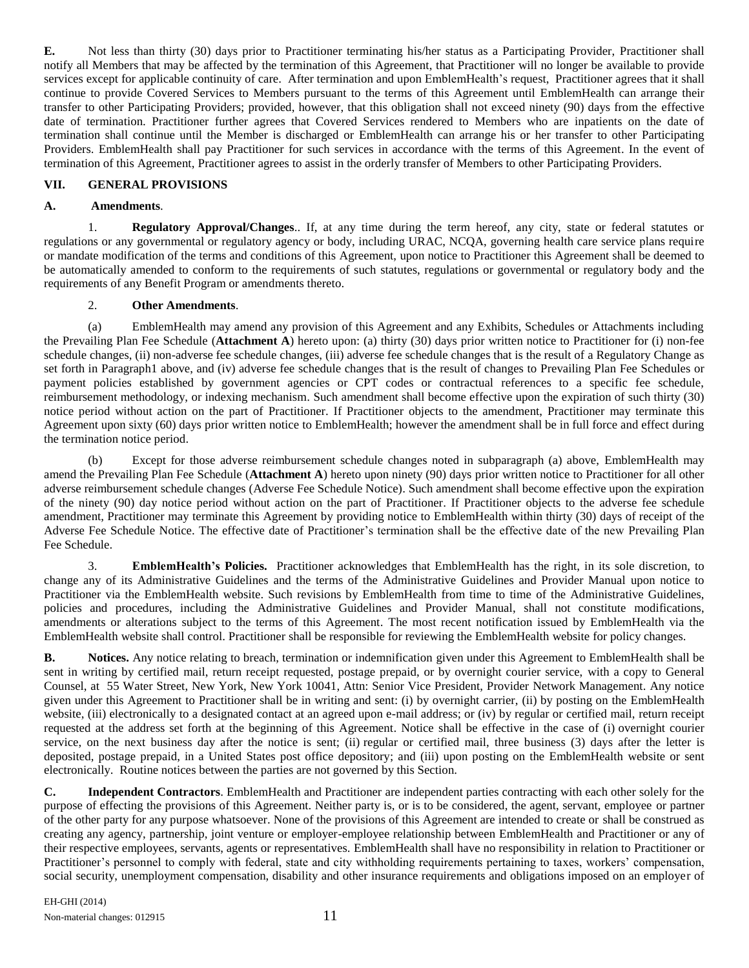**E.** Not less than thirty (30) days prior to Practitioner terminating his/her status as a Participating Provider, Practitioner shall notify all Members that may be affected by the termination of this Agreement, that Practitioner will no longer be available to provide services except for applicable continuity of care. After termination and upon EmblemHealth's request, Practitioner agrees that it shall continue to provide Covered Services to Members pursuant to the terms of this Agreement until EmblemHealth can arrange their transfer to other Participating Providers; provided, however, that this obligation shall not exceed ninety (90) days from the effective date of termination. Practitioner further agrees that Covered Services rendered to Members who are inpatients on the date of termination shall continue until the Member is discharged or EmblemHealth can arrange his or her transfer to other Participating Providers. EmblemHealth shall pay Practitioner for such services in accordance with the terms of this Agreement. In the event of termination of this Agreement, Practitioner agrees to assist in the orderly transfer of Members to other Participating Providers.

# **VII. GENERAL PROVISIONS**

# **A. Amendments**.

1. **Regulatory Approval/Changes**.. If, at any time during the term hereof, any city, state or federal statutes or regulations or any governmental or regulatory agency or body, including URAC, NCQA, governing health care service plans require or mandate modification of the terms and conditions of this Agreement, upon notice to Practitioner this Agreement shall be deemed to be automatically amended to conform to the requirements of such statutes, regulations or governmental or regulatory body and the requirements of any Benefit Program or amendments thereto.

# 2. **Other Amendments**.

(a) EmblemHealth may amend any provision of this Agreement and any Exhibits, Schedules or Attachments including the Prevailing Plan Fee Schedule (**Attachment A**) hereto upon: (a) thirty (30) days prior written notice to Practitioner for (i) non-fee schedule changes, (ii) non-adverse fee schedule changes, (iii) adverse fee schedule changes that is the result of a Regulatory Change as set forth in Paragraph1 above, and (iv) adverse fee schedule changes that is the result of changes to Prevailing Plan Fee Schedules or payment policies established by government agencies or CPT codes or contractual references to a specific fee schedule, reimbursement methodology, or indexing mechanism. Such amendment shall become effective upon the expiration of such thirty (30) notice period without action on the part of Practitioner. If Practitioner objects to the amendment, Practitioner may terminate this Agreement upon sixty (60) days prior written notice to EmblemHealth; however the amendment shall be in full force and effect during the termination notice period.

(b) Except for those adverse reimbursement schedule changes noted in subparagraph (a) above, EmblemHealth may amend the Prevailing Plan Fee Schedule (**Attachment A**) hereto upon ninety (90) days prior written notice to Practitioner for all other adverse reimbursement schedule changes (Adverse Fee Schedule Notice). Such amendment shall become effective upon the expiration of the ninety (90) day notice period without action on the part of Practitioner. If Practitioner objects to the adverse fee schedule amendment, Practitioner may terminate this Agreement by providing notice to EmblemHealth within thirty (30) days of receipt of the Adverse Fee Schedule Notice. The effective date of Practitioner's termination shall be the effective date of the new Prevailing Plan Fee Schedule.

3. **EmblemHealth's Policies.** Practitioner acknowledges that EmblemHealth has the right, in its sole discretion, to change any of its Administrative Guidelines and the terms of the Administrative Guidelines and Provider Manual upon notice to Practitioner via the EmblemHealth website. Such revisions by EmblemHealth from time to time of the Administrative Guidelines, policies and procedures, including the Administrative Guidelines and Provider Manual, shall not constitute modifications, amendments or alterations subject to the terms of this Agreement. The most recent notification issued by EmblemHealth via the EmblemHealth website shall control. Practitioner shall be responsible for reviewing the EmblemHealth website for policy changes.

**B. Notices.** Any notice relating to breach, termination or indemnification given under this Agreement to EmblemHealth shall be sent in writing by certified mail, return receipt requested, postage prepaid, or by overnight courier service, with a copy to General Counsel, at 55 Water Street, New York, New York 10041, Attn: Senior Vice President, Provider Network Management. Any notice given under this Agreement to Practitioner shall be in writing and sent: (i) by overnight carrier, (ii) by posting on the EmblemHealth website, (iii) electronically to a designated contact at an agreed upon e-mail address; or (iv) by regular or certified mail, return receipt requested at the address set forth at the beginning of this Agreement. Notice shall be effective in the case of (i) overnight courier service, on the next business day after the notice is sent; (ii) regular or certified mail, three business (3) days after the letter is deposited, postage prepaid, in a United States post office depository; and (iii) upon posting on the EmblemHealth website or sent electronically. Routine notices between the parties are not governed by this Section.

**C. Independent Contractors**. EmblemHealth and Practitioner are independent parties contracting with each other solely for the purpose of effecting the provisions of this Agreement. Neither party is, or is to be considered, the agent, servant, employee or partner of the other party for any purpose whatsoever. None of the provisions of this Agreement are intended to create or shall be construed as creating any agency, partnership, joint venture or employer-employee relationship between EmblemHealth and Practitioner or any of their respective employees, servants, agents or representatives. EmblemHealth shall have no responsibility in relation to Practitioner or Practitioner's personnel to comply with federal, state and city withholding requirements pertaining to taxes, workers' compensation, social security, unemployment compensation, disability and other insurance requirements and obligations imposed on an employer of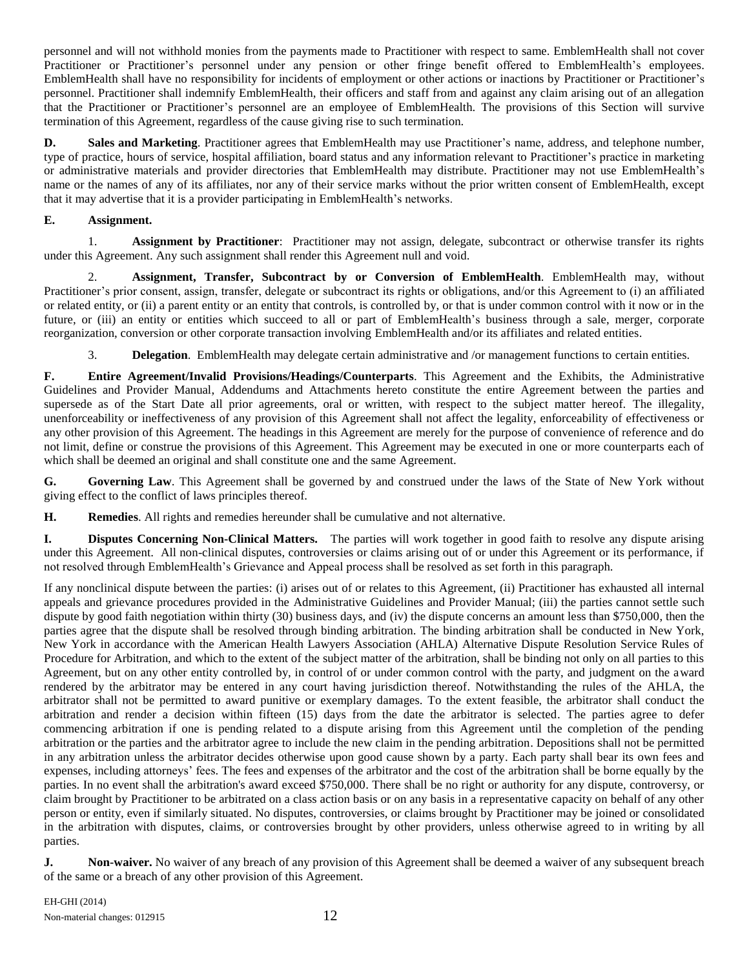personnel and will not withhold monies from the payments made to Practitioner with respect to same. EmblemHealth shall not cover Practitioner or Practitioner's personnel under any pension or other fringe benefit offered to EmblemHealth's employees. EmblemHealth shall have no responsibility for incidents of employment or other actions or inactions by Practitioner or Practitioner's personnel. Practitioner shall indemnify EmblemHealth, their officers and staff from and against any claim arising out of an allegation that the Practitioner or Practitioner's personnel are an employee of EmblemHealth. The provisions of this Section will survive termination of this Agreement, regardless of the cause giving rise to such termination.

**D. Sales and Marketing**. Practitioner agrees that EmblemHealth may use Practitioner's name, address, and telephone number, type of practice, hours of service, hospital affiliation, board status and any information relevant to Practitioner's practice in marketing or administrative materials and provider directories that EmblemHealth may distribute. Practitioner may not use EmblemHealth's name or the names of any of its affiliates, nor any of their service marks without the prior written consent of EmblemHealth, except that it may advertise that it is a provider participating in EmblemHealth's networks.

# **E. Assignment.**

1. **Assignment by Practitioner**: Practitioner may not assign, delegate, subcontract or otherwise transfer its rights under this Agreement. Any such assignment shall render this Agreement null and void.

2. **Assignment, Transfer, Subcontract by or Conversion of EmblemHealth**. EmblemHealth may, without Practitioner's prior consent, assign, transfer, delegate or subcontract its rights or obligations, and/or this Agreement to (i) an affiliated or related entity, or (ii) a parent entity or an entity that controls, is controlled by, or that is under common control with it now or in the future, or (iii) an entity or entities which succeed to all or part of EmblemHealth's business through a sale, merger, corporate reorganization, conversion or other corporate transaction involving EmblemHealth and/or its affiliates and related entities.

3. **Delegation**. EmblemHealth may delegate certain administrative and /or management functions to certain entities.

**F. Entire Agreement/Invalid Provisions/Headings/Counterparts**. This Agreement and the Exhibits, the Administrative Guidelines and Provider Manual, Addendums and Attachments hereto constitute the entire Agreement between the parties and supersede as of the Start Date all prior agreements, oral or written, with respect to the subject matter hereof. The illegality, unenforceability or ineffectiveness of any provision of this Agreement shall not affect the legality, enforceability of effectiveness or any other provision of this Agreement. The headings in this Agreement are merely for the purpose of convenience of reference and do not limit, define or construe the provisions of this Agreement. This Agreement may be executed in one or more counterparts each of which shall be deemed an original and shall constitute one and the same Agreement.

**G. Governing Law**. This Agreement shall be governed by and construed under the laws of the State of New York without giving effect to the conflict of laws principles thereof.

**H. Remedies**. All rights and remedies hereunder shall be cumulative and not alternative.

**I. Disputes Concerning Non-Clinical Matters.** The parties will work together in good faith to resolve any dispute arising under this Agreement. All non-clinical disputes, controversies or claims arising out of or under this Agreement or its performance, if not resolved through EmblemHealth's Grievance and Appeal process shall be resolved as set forth in this paragraph.

If any nonclinical dispute between the parties: (i) arises out of or relates to this Agreement, (ii) Practitioner has exhausted all internal appeals and grievance procedures provided in the Administrative Guidelines and Provider Manual; (iii) the parties cannot settle such dispute by good faith negotiation within thirty (30) business days, and (iv) the dispute concerns an amount less than \$750,000, then the parties agree that the dispute shall be resolved through binding arbitration. The binding arbitration shall be conducted in New York, New York in accordance with the American Health Lawyers Association (AHLA) Alternative Dispute Resolution Service Rules of Procedure for Arbitration, and which to the extent of the subject matter of the arbitration, shall be binding not only on all parties to this Agreement, but on any other entity controlled by, in control of or under common control with the party, and judgment on the award rendered by the arbitrator may be entered in any court having jurisdiction thereof. Notwithstanding the rules of the AHLA, the arbitrator shall not be permitted to award punitive or exemplary damages. To the extent feasible, the arbitrator shall conduct the arbitration and render a decision within fifteen (15) days from the date the arbitrator is selected. The parties agree to defer commencing arbitration if one is pending related to a dispute arising from this Agreement until the completion of the pending arbitration or the parties and the arbitrator agree to include the new claim in the pending arbitration. Depositions shall not be permitted in any arbitration unless the arbitrator decides otherwise upon good cause shown by a party. Each party shall bear its own fees and expenses, including attorneys' fees. The fees and expenses of the arbitrator and the cost of the arbitration shall be borne equally by the parties. In no event shall the arbitration's award exceed \$750,000. There shall be no right or authority for any dispute, controversy, or claim brought by Practitioner to be arbitrated on a class action basis or on any basis in a representative capacity on behalf of any other person or entity, even if similarly situated. No disputes, controversies, or claims brought by Practitioner may be joined or consolidated in the arbitration with disputes, claims, or controversies brought by other providers, unless otherwise agreed to in writing by all parties.

**J. Non-waiver.** No waiver of any breach of any provision of this Agreement shall be deemed a waiver of any subsequent breach of the same or a breach of any other provision of this Agreement.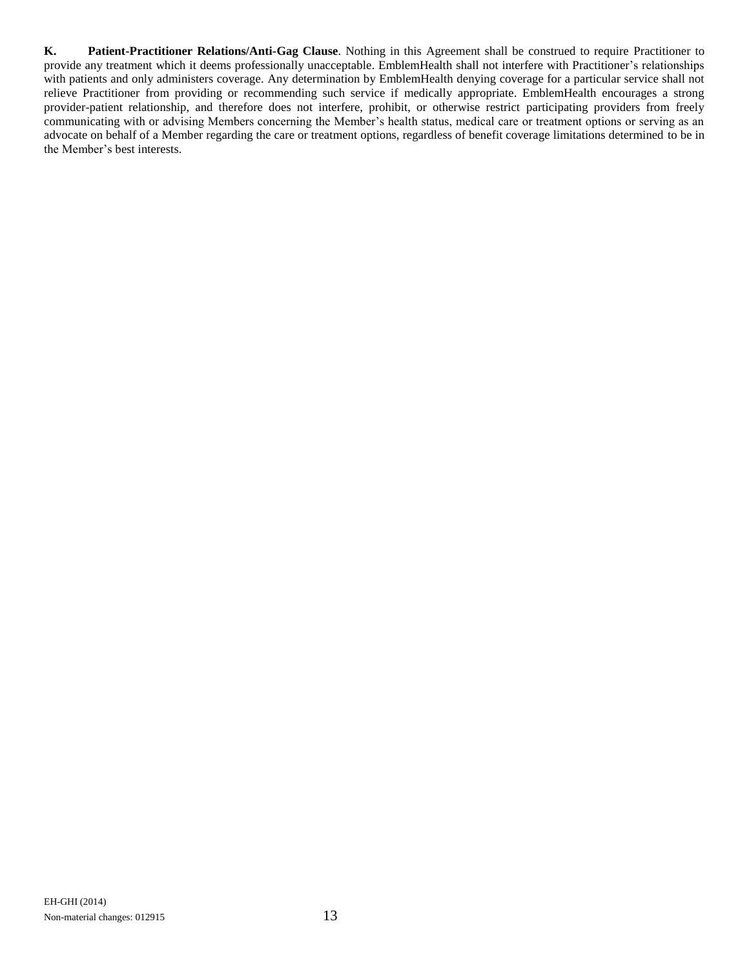**K. Patient-Practitioner Relations/Anti-Gag Clause**. Nothing in this Agreement shall be construed to require Practitioner to provide any treatment which it deems professionally unacceptable. EmblemHealth shall not interfere with Practitioner's relationships with patients and only administers coverage. Any determination by EmblemHealth denying coverage for a particular service shall not relieve Practitioner from providing or recommending such service if medically appropriate. EmblemHealth encourages a strong provider-patient relationship, and therefore does not interfere, prohibit, or otherwise restrict participating providers from freely communicating with or advising Members concerning the Member's health status, medical care or treatment options or serving as an advocate on behalf of a Member regarding the care or treatment options, regardless of benefit coverage limitations determined to be in the Member's best interests.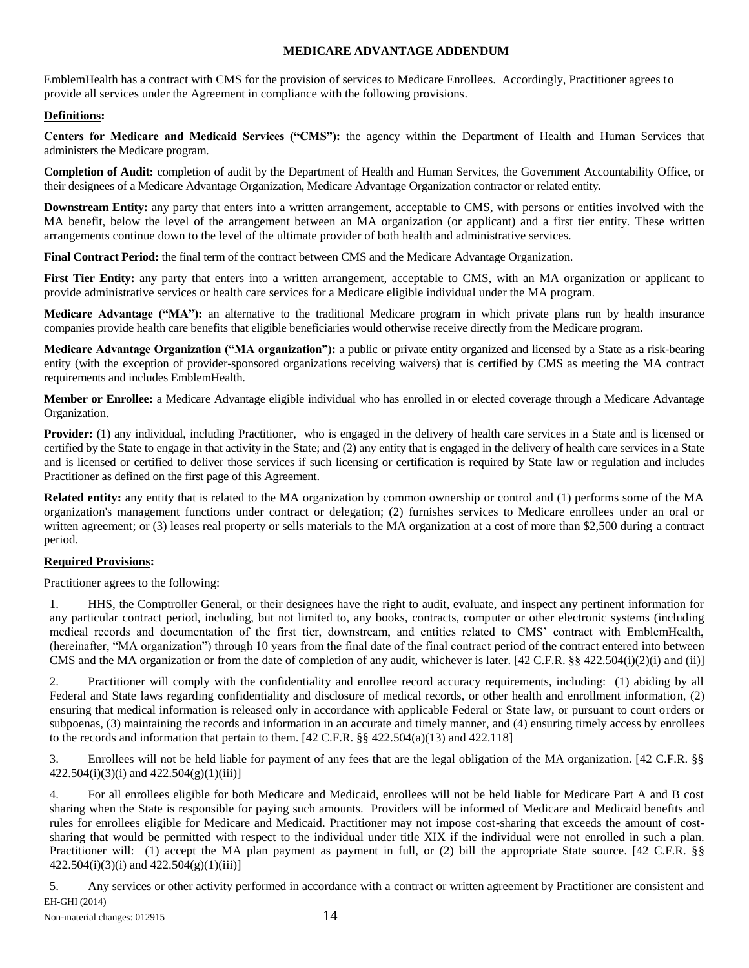#### **MEDICARE ADVANTAGE ADDENDUM**

EmblemHealth has a contract with CMS for the provision of services to Medicare Enrollees. Accordingly, Practitioner agrees to provide all services under the Agreement in compliance with the following provisions.

#### **Definitions:**

**Centers for Medicare and Medicaid Services ("CMS"):** the agency within the Department of Health and Human Services that administers the Medicare program.

**Completion of Audit:** completion of audit by the Department of Health and Human Services, the Government Accountability Office, or their designees of a Medicare Advantage Organization, Medicare Advantage Organization contractor or related entity.

**Downstream Entity:** any party that enters into a written arrangement, acceptable to CMS, with persons or entities involved with the MA benefit, below the level of the arrangement between an MA organization (or applicant) and a first tier entity. These written arrangements continue down to the level of the ultimate provider of both health and administrative services.

**Final Contract Period:** the final term of the contract between CMS and the Medicare Advantage Organization.

**First Tier Entity:** any party that enters into a written arrangement, acceptable to CMS, with an MA organization or applicant to provide administrative services or health care services for a Medicare eligible individual under the MA program.

**Medicare Advantage ("MA"):** an alternative to the traditional Medicare program in which private plans run by health insurance companies provide health care benefits that eligible beneficiaries would otherwise receive directly from the Medicare program.

**Medicare Advantage Organization ("MA organization"):** a public or private entity organized and licensed by a State as a risk-bearing entity (with the exception of provider-sponsored organizations receiving waivers) that is certified by CMS as meeting the MA contract requirements and includes EmblemHealth.

**Member or Enrollee:** a Medicare Advantage eligible individual who has enrolled in or elected coverage through a Medicare Advantage Organization.

**Provider:** (1) any individual, including Practitioner, who is engaged in the delivery of health care services in a State and is licensed or certified by the State to engage in that activity in the State; and (2) any entity that is engaged in the delivery of health care services in a State and is licensed or certified to deliver those services if such licensing or certification is required by State law or regulation and includes Practitioner as defined on the first page of this Agreement.

**Related entity:** any entity that is related to the MA organization by common ownership or control and (1) performs some of the MA organization's management functions under contract or delegation; (2) furnishes services to Medicare enrollees under an oral or written agreement; or (3) leases real property or sells materials to the MA organization at a cost of more than \$2,500 during a contract period.

# **Required Provisions:**

Practitioner agrees to the following:

1. HHS, the Comptroller General, or their designees have the right to audit, evaluate, and inspect any pertinent information for any particular contract period, including, but not limited to, any books, contracts, computer or other electronic systems (including medical records and documentation of the first tier, downstream, and entities related to CMS' contract with EmblemHealth, (hereinafter, "MA organization") through 10 years from the final date of the final contract period of the contract entered into between CMS and the MA organization or from the date of completion of any audit, whichever is later. [42 C.F.R. §§ 422.504(i)(2)(i) and (ii)]

2. Practitioner will comply with the confidentiality and enrollee record accuracy requirements, including: (1) abiding by all Federal and State laws regarding confidentiality and disclosure of medical records, or other health and enrollment information, (2) ensuring that medical information is released only in accordance with applicable Federal or State law, or pursuant to court orders or subpoenas, (3) maintaining the records and information in an accurate and timely manner, and (4) ensuring timely access by enrollees to the records and information that pertain to them.  $[42 \text{ C.F.R.}$  §§  $422.504(a)(13)$  and  $422.118]$ 

3. Enrollees will not be held liable for payment of any fees that are the legal obligation of the MA organization. [42 C.F.R. §§  $422.504(i)(3)(i)$  and  $422.504(g)(1)(iii)$ ]

4. For all enrollees eligible for both Medicare and Medicaid, enrollees will not be held liable for Medicare Part A and B cost sharing when the State is responsible for paying such amounts. Providers will be informed of Medicare and Medicaid benefits and rules for enrollees eligible for Medicare and Medicaid. Practitioner may not impose cost-sharing that exceeds the amount of costsharing that would be permitted with respect to the individual under title XIX if the individual were not enrolled in such a plan. Practitioner will: (1) accept the MA plan payment as payment in full, or (2) bill the appropriate State source. [42 C.F.R. §§  $422.504(i)(3)(i)$  and  $422.504(g)(1)(iii)$ ]

EH-GHI (2014) 5. Any services or other activity performed in accordance with a contract or written agreement by Practitioner are consistent and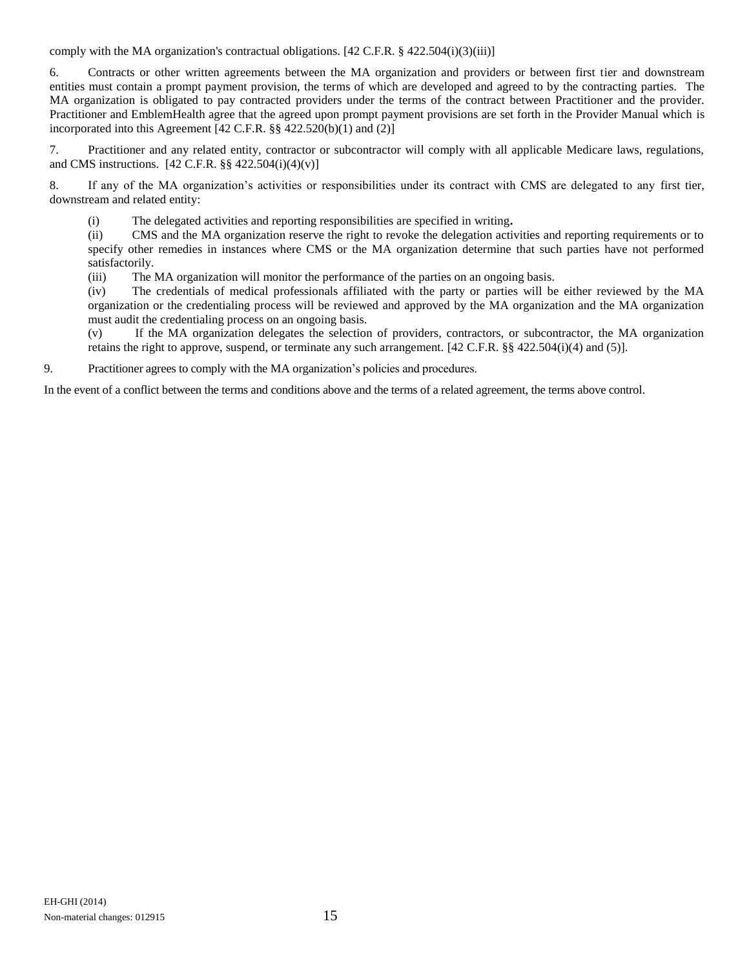comply with the MA organization's contractual obligations.  $[42 \text{ C.F.R.} \$   $[422.504(i)(3)(iii)]$ 

6. Contracts or other written agreements between the MA organization and providers or between first tier and downstream entities must contain a prompt payment provision, the terms of which are developed and agreed to by the contracting parties. The MA organization is obligated to pay contracted providers under the terms of the contract between Practitioner and the provider. Practitioner and EmblemHealth agree that the agreed upon prompt payment provisions are set forth in the Provider Manual which is incorporated into this Agreement  $[42 \text{ C.F.R. }$  §§  $422.520(b)(1)$  and  $(2)]$ 

7. Practitioner and any related entity, contractor or subcontractor will comply with all applicable Medicare laws, regulations, and CMS instructions.  $[42 \text{ C.F.R. }$  §§  $422.504(i)(4)(v)]$ 

8. If any of the MA organization's activities or responsibilities under its contract with CMS are delegated to any first tier, downstream and related entity:

(i) The delegated activities and reporting responsibilities are specified in writing**.** 

(ii) CMS and the MA organization reserve the right to revoke the delegation activities and reporting requirements or to specify other remedies in instances where CMS or the MA organization determine that such parties have not performed satisfactorily.

(iii) The MA organization will monitor the performance of the parties on an ongoing basis.

(iv) The credentials of medical professionals affiliated with the party or parties will be either reviewed by the MA organization or the credentialing process will be reviewed and approved by the MA organization and the MA organization must audit the credentialing process on an ongoing basis.

(v) If the MA organization delegates the selection of providers, contractors, or subcontractor, the MA organization retains the right to approve, suspend, or terminate any such arrangement. [42 C.F.R. §§ 422.504(i)(4) and (5)].

9. Practitioner agrees to comply with the MA organization's policies and procedures.

In the event of a conflict between the terms and conditions above and the terms of a related agreement, the terms above control.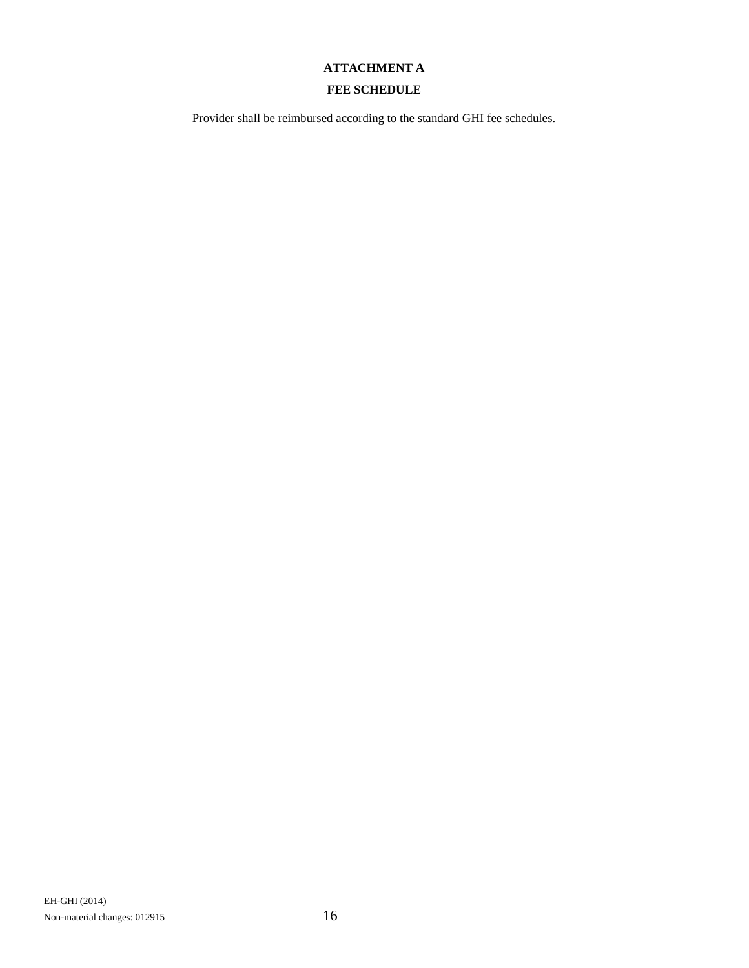# **ATTACHMENT A**

# **FEE SCHEDULE**

Provider shall be reimbursed according to the standard GHI fee schedules.